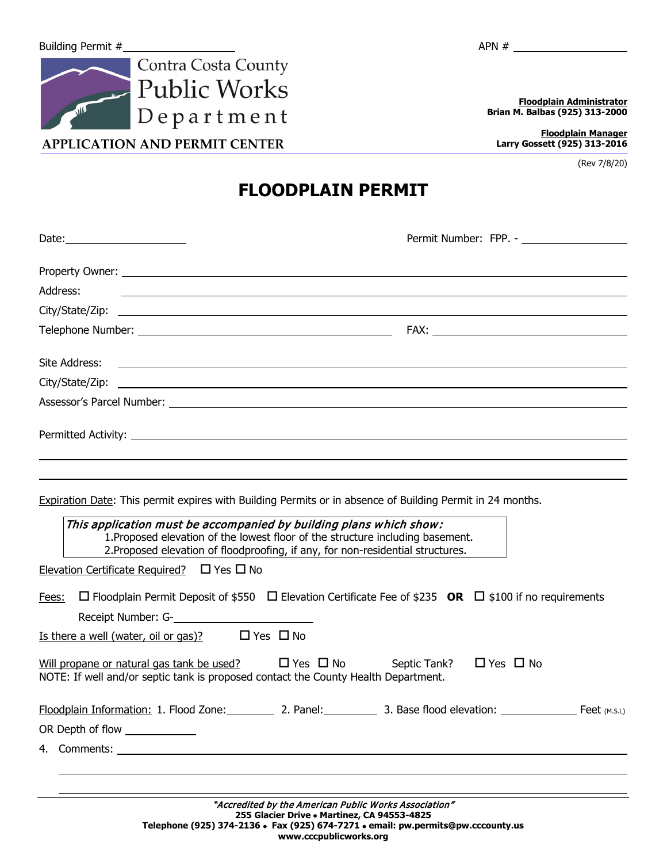

**APPLICATION AND PERMIT CENTER**

**Floodplain Administrator Brian M. Balbas (925) 313-2000**

**Floodplain Manager Larry Gossett (925) 313-2016**

(Rev 7/8/20)

**FLOODPLAIN PERMIT**

| Address:                                                                                                                                                                                                                                                                                                                                                                                                     |
|--------------------------------------------------------------------------------------------------------------------------------------------------------------------------------------------------------------------------------------------------------------------------------------------------------------------------------------------------------------------------------------------------------------|
|                                                                                                                                                                                                                                                                                                                                                                                                              |
|                                                                                                                                                                                                                                                                                                                                                                                                              |
| Site Address:<br><u> 1999 - John Harry Harry Harry Harry Harry Harry Harry Harry Harry Harry Harry Harry Harry Harry Harry Harry H</u>                                                                                                                                                                                                                                                                       |
|                                                                                                                                                                                                                                                                                                                                                                                                              |
|                                                                                                                                                                                                                                                                                                                                                                                                              |
|                                                                                                                                                                                                                                                                                                                                                                                                              |
|                                                                                                                                                                                                                                                                                                                                                                                                              |
|                                                                                                                                                                                                                                                                                                                                                                                                              |
| Expiration Date: This permit expires with Building Permits or in absence of Building Permit in 24 months.<br>This application must be accompanied by building plans which show:<br>1. Proposed elevation of the lowest floor of the structure including basement.<br>2. Proposed elevation of floodproofing, if any, for non-residential structures.<br>Elevation Certificate Required? $\Box$ Yes $\Box$ No |
| $\Box$ Floodplain Permit Deposit of \$550 $\Box$ Elevation Certificate Fee of \$235 OR $\Box$ \$100 if no requirements<br>Fees:                                                                                                                                                                                                                                                                              |
| <u>Is there a well (water, oil or gas)?</u> $\Box$ Yes $\Box$ No                                                                                                                                                                                                                                                                                                                                             |
| Will propane or natural gas tank be used? $\square$ Yes $\square$ No Septic Tank?<br>$\Box$ Yes $\Box$ No<br>NOTE: If well and/or septic tank is proposed contact the County Health Department.                                                                                                                                                                                                              |
| Floodplain Information: 1. Flood Zone: 2. Panel: 3. Base flood elevation: Feet (M.S.L.)                                                                                                                                                                                                                                                                                                                      |
| OR Depth of flow _____________                                                                                                                                                                                                                                                                                                                                                                               |
|                                                                                                                                                                                                                                                                                                                                                                                                              |
|                                                                                                                                                                                                                                                                                                                                                                                                              |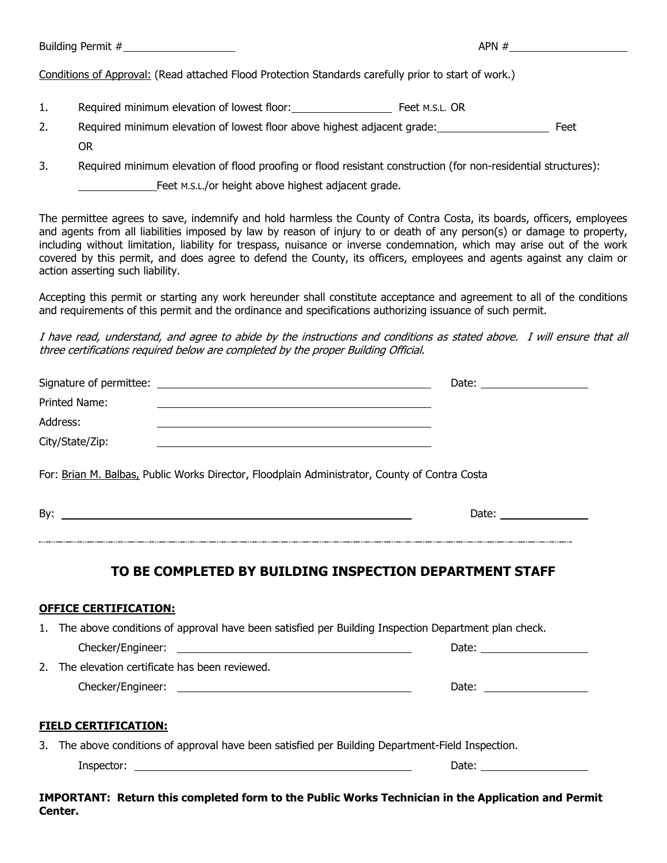Building Permit  $#$  APN  $#$ 

Conditions of Approval: (Read attached Flood Protection Standards carefully prior to start of work.)

- 1. Required minimum elevation of lowest floor: Feet M.S.L. OR
- 2. Required minimum elevation of lowest floor above highest adjacent grade: Feet OR
- 3. Required minimum elevation of flood proofing or flood resistant construction (for non-residential structures): Feet M.S.L./or height above highest adjacent grade.

The permittee agrees to save, indemnify and hold harmless the County of Contra Costa, its boards, officers, employees and agents from all liabilities imposed by law by reason of injury to or death of any person(s) or damage to property, including without limitation, liability for trespass, nuisance or inverse condemnation, which may arise out of the work covered by this permit, and does agree to defend the County, its officers, employees and agents against any claim or action asserting such liability.

Accepting this permit or starting any work hereunder shall constitute acceptance and agreement to all of the conditions and requirements of this permit and the ordinance and specifications authorizing issuance of such permit.

I have read, understand, and agree to abide by the instructions and conditions as stated above. I will ensure that all three certifications required below are completed by the proper Building Official.

|                                                                                                                                        | Date: $\frac{1}{\sqrt{1-\frac{1}{2}}}\frac{1}{\sqrt{1-\frac{1}{2}}}\frac{1}{\sqrt{1-\frac{1}{2}}}\frac{1}{\sqrt{1-\frac{1}{2}}}\frac{1}{\sqrt{1-\frac{1}{2}}}\frac{1}{\sqrt{1-\frac{1}{2}}}\frac{1}{\sqrt{1-\frac{1}{2}}}\frac{1}{\sqrt{1-\frac{1}{2}}}\frac{1}{\sqrt{1-\frac{1}{2}}}\frac{1}{\sqrt{1-\frac{1}{2}}}\frac{1}{\sqrt{1-\frac{1}{2}}}\frac{1}{\sqrt{1-\frac{1}{2}}}\frac{1}{\sqrt{1-\frac{1}{2}}}\frac{1}{\$ |  |
|----------------------------------------------------------------------------------------------------------------------------------------|--------------------------------------------------------------------------------------------------------------------------------------------------------------------------------------------------------------------------------------------------------------------------------------------------------------------------------------------------------------------------------------------------------------------------|--|
| <b>Printed Name:</b>                                                                                                                   |                                                                                                                                                                                                                                                                                                                                                                                                                          |  |
| Address:                                                                                                                               |                                                                                                                                                                                                                                                                                                                                                                                                                          |  |
| City/State/Zip:                                                                                                                        |                                                                                                                                                                                                                                                                                                                                                                                                                          |  |
| For: Brian M. Balbas, Public Works Director, Floodplain Administrator, County of Contra Costa                                          |                                                                                                                                                                                                                                                                                                                                                                                                                          |  |
|                                                                                                                                        |                                                                                                                                                                                                                                                                                                                                                                                                                          |  |
| <b>OFFICE CERTIFICATION:</b><br>1. The above conditions of approval have been satisfied per Building Inspection Department plan check. |                                                                                                                                                                                                                                                                                                                                                                                                                          |  |
|                                                                                                                                        |                                                                                                                                                                                                                                                                                                                                                                                                                          |  |
| 2. The elevation certificate has been reviewed.                                                                                        | Date: the contract of the contract of the contract of the contract of the contract of the contract of the contract of the contract of the contract of the contract of the contract of the contract of the contract of the cont                                                                                                                                                                                           |  |
| <b>FIELD CERTIFICATION:</b>                                                                                                            |                                                                                                                                                                                                                                                                                                                                                                                                                          |  |
| 3. The above conditions of approval have been satisfied per Building Department-Field Inspection.                                      |                                                                                                                                                                                                                                                                                                                                                                                                                          |  |
| Inspector: $\sqrt{2\pi i}$                                                                                                             |                                                                                                                                                                                                                                                                                                                                                                                                                          |  |
|                                                                                                                                        |                                                                                                                                                                                                                                                                                                                                                                                                                          |  |

**IMPORTANT: Return this completed form to the Public Works Technician in the Application and Permit Center.**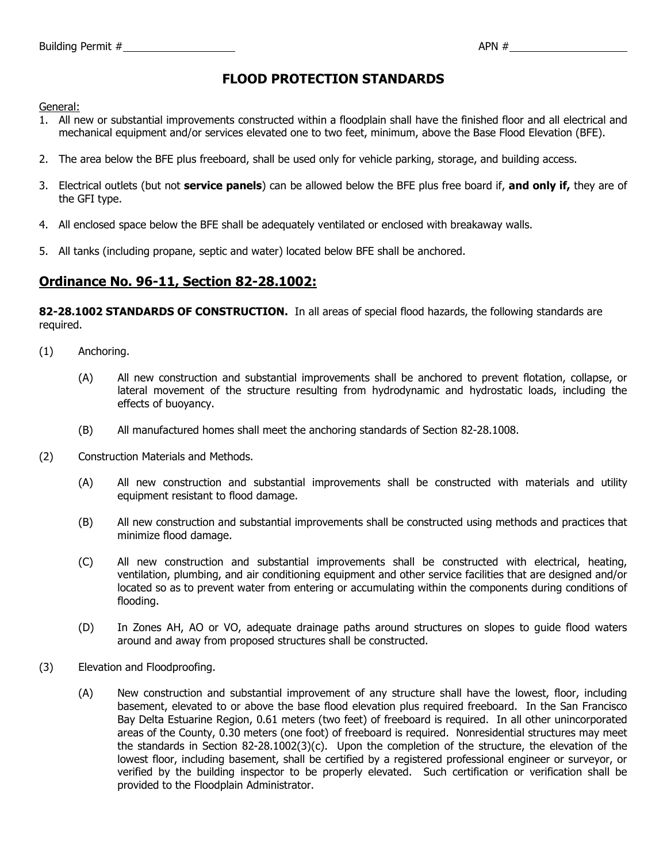## **FLOOD PROTECTION STANDARDS**

General:

- 1. All new or substantial improvements constructed within a floodplain shall have the finished floor and all electrical and mechanical equipment and/or services elevated one to two feet, minimum, above the Base Flood Elevation (BFE).
- 2. The area below the BFE plus freeboard, shall be used only for vehicle parking, storage, and building access.
- 3. Electrical outlets (but not **service panels**) can be allowed below the BFE plus free board if, **and only if,** they are of the GFI type.
- 4. All enclosed space below the BFE shall be adequately ventilated or enclosed with breakaway walls.
- 5. All tanks (including propane, septic and water) located below BFE shall be anchored.

## **Ordinance No. 96-11, Section 82-28.1002:**

82-28.1002 STANDARDS OF CONSTRUCTION. In all areas of special flood hazards, the following standards are required.

- (1) Anchoring.
	- (A) All new construction and substantial improvements shall be anchored to prevent flotation, collapse, or lateral movement of the structure resulting from hydrodynamic and hydrostatic loads, including the effects of buoyancy.
	- (B) All manufactured homes shall meet the anchoring standards of Section 82-28.1008.
- (2) Construction Materials and Methods.
	- (A) All new construction and substantial improvements shall be constructed with materials and utility equipment resistant to flood damage.
	- (B) All new construction and substantial improvements shall be constructed using methods and practices that minimize flood damage.
	- (C) All new construction and substantial improvements shall be constructed with electrical, heating, ventilation, plumbing, and air conditioning equipment and other service facilities that are designed and/or located so as to prevent water from entering or accumulating within the components during conditions of flooding.
	- (D) In Zones AH, AO or VO, adequate drainage paths around structures on slopes to guide flood waters around and away from proposed structures shall be constructed.
- (3) Elevation and Floodproofing.
	- (A) New construction and substantial improvement of any structure shall have the lowest, floor, including basement, elevated to or above the base flood elevation plus required freeboard. In the San Francisco Bay Delta Estuarine Region, 0.61 meters (two feet) of freeboard is required. In all other unincorporated areas of the County, 0.30 meters (one foot) of freeboard is required. Nonresidential structures may meet the standards in Section 82-28.1002(3)(c). Upon the completion of the structure, the elevation of the lowest floor, including basement, shall be certified by a registered professional engineer or surveyor, or verified by the building inspector to be properly elevated. Such certification or verification shall be provided to the Floodplain Administrator.